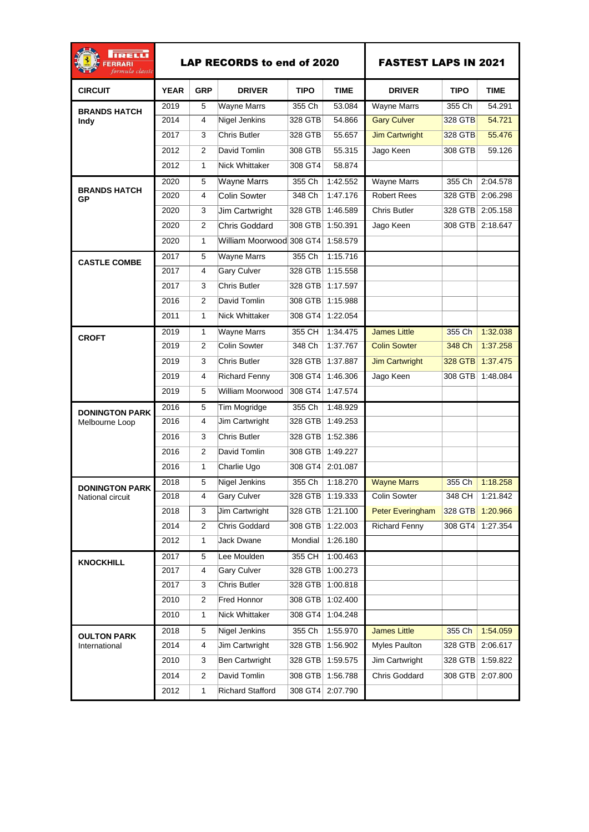| IRELLI<br><b>ERRARI</b><br>formula classic |             |                | <b>LAP RECORDS to end of 2020</b> | <b>FASTEST LAPS IN 2021</b> |                  |                         |             |                  |
|--------------------------------------------|-------------|----------------|-----------------------------------|-----------------------------|------------------|-------------------------|-------------|------------------|
| <b>CIRCUIT</b>                             | <b>YEAR</b> | <b>GRP</b>     | <b>DRIVER</b>                     | <b>TIPO</b>                 | <b>TIME</b>      | <b>DRIVER</b>           | <b>TIPO</b> | <b>TIME</b>      |
| <b>BRANDS HATCH</b><br>Indy                | 2019        | 5              | <b>Wayne Marrs</b>                | 355 Ch                      | 53.084           | <b>Wayne Marrs</b>      | 355 Ch      | 54.291           |
|                                            | 2014        | 4              | Nigel Jenkins                     | 328 GTB                     | 54.866           | <b>Gary Culver</b>      | 328 GTB     | 54.721           |
|                                            | 2017        | 3              | <b>Chris Butler</b>               | 328 GTB                     | 55.657           | <b>Jim Cartwright</b>   | 328 GTB     | 55.476           |
|                                            | 2012        | 2              | David Tomlin                      | 308 GTB                     | 55.315           | Jago Keen               | 308 GTB     | 59.126           |
|                                            | 2012        | $\mathbf{1}$   | <b>Nick Whittaker</b>             | 308 GT4                     | 58.874           |                         |             |                  |
| <b>BRANDS HATCH</b><br>GP                  | 2020        | 5              | Wayne Marrs                       | 355 Ch                      | 1:42.552         | <b>Wayne Marrs</b>      | 355 Ch      | 2:04.578         |
|                                            | 2020        | $\overline{4}$ | <b>Colin Sowter</b>               | 348 Ch                      | 1:47.176         | Robert Rees             |             | 328 GTB 2:06.298 |
|                                            | 2020        | 3              | Jim Cartwright                    | 328 GTB                     | 1:46.589         | Chris Butler            |             | 328 GTB 2:05.158 |
|                                            | 2020        | $\overline{2}$ | Chris Goddard                     | 308 GTB                     | 1:50.391         | Jago Keen               |             | 308 GTB 2:18.647 |
|                                            | 2020        | $\mathbf{1}$   | William Moorwood 308 GT4          |                             | 1:58.579         |                         |             |                  |
| <b>CASTLE COMBE</b>                        | 2017        | 5              | Wayne Marrs                       | 355 Ch                      | 1:15.716         |                         |             |                  |
|                                            | 2017        | 4              | <b>Gary Culver</b>                | 328 GTB                     | 1:15.558         |                         |             |                  |
|                                            | 2017        | 3              | <b>Chris Butler</b>               | 328 GTB                     | 1:17.597         |                         |             |                  |
|                                            | 2016        | $\overline{2}$ | David Tomlin                      | 308 GTB                     | 1:15.988         |                         |             |                  |
|                                            | 2011        | $\mathbf{1}$   | Nick Whittaker                    | 308 GT4                     | 1:22.054         |                         |             |                  |
| <b>CROFT</b>                               | 2019        | $\mathbf{1}$   | Wayne Marrs                       | 355 CH                      | 1:34.475         | <b>James Little</b>     | 355 Ch      | 1:32.038         |
|                                            | 2019        | 2              | Colin Sowter                      | 348 Ch                      | 1:37.767         | <b>Colin Sowter</b>     | 348 Ch      | 1:37.258         |
|                                            | 2019        | 3              | Chris Butler                      | 328 GTB                     | 1:37.887         | <b>Jim Cartwright</b>   |             | 328 GTB 1:37.475 |
|                                            | 2019        | 4              | <b>Richard Fenny</b>              | 308 GT4                     | 1:46.306         | Jago Keen               |             | 308 GTB 1:48.084 |
|                                            | 2019        | 5              | William Moorwood                  | 308 GT4                     | 1:47.574         |                         |             |                  |
| <b>DONINGTON PARK</b><br>Melbourne Loop    | 2016        | 5              | Tim Mogridge                      | 355 Ch                      | 1:48.929         |                         |             |                  |
|                                            | 2016        | 4              | <b>Jim Cartwright</b>             | 328 GTB                     | 1:49.253         |                         |             |                  |
|                                            | 2016        | 3              | Chris Butler                      | 328 GTB                     | 1:52.386         |                         |             |                  |
|                                            | 2016        | 2              | David Tomlin                      | 308 GTB                     | 1:49.227         |                         |             |                  |
|                                            | 2016        | $\mathbf{1}$   | Charlie Ugo                       | 308 GT4                     | 2:01.087         |                         |             |                  |
| <b>DONINGTON PARK</b><br>National circuit  | 2018        | 5              | Nigel Jenkins                     | 355 Ch                      | 1:18.270         | <b>Wayne Marrs</b>      | 355 Ch      | 1:18.258         |
|                                            | 2018        | 4              | <b>Gary Culver</b>                | 328 GTB                     | 1:19.333         | <b>Colin Sowter</b>     | 348 CH      | 1:21.842         |
|                                            | 2018        | 3              | Jim Cartwright                    |                             | 328 GTB 1:21.100 | <b>Peter Everingham</b> | 328 GTB     | 1:20.966         |
|                                            | 2014        | $\overline{2}$ | Chris Goddard                     | 308 GTB                     | 1:22.003         | <b>Richard Fenny</b>    | 308 GT4     | 1:27.354         |
|                                            | 2012        | $\mathbf{1}$   | Jack Dwane                        | Mondial                     | 1:26.180         |                         |             |                  |
| <b>KNOCKHILL</b>                           | 2017        | 5              | Lee Moulden                       | 355 CH                      | 1:00.463         |                         |             |                  |
|                                            | 2017        | 4              | Gary Culver                       | 328 GTB                     | 1:00.273         |                         |             |                  |
|                                            | 2017        | 3              | Chris Butler                      | 328 GTB                     | 1:00.818         |                         |             |                  |
|                                            | 2010        | $\overline{2}$ | Fred Honnor                       | 308 GTB                     | 1:02.400         |                         |             |                  |
|                                            | 2010        | 1              | Nick Whittaker                    | 308 GT4                     | 1:04.248         |                         |             |                  |
| <b>OULTON PARK</b>                         | 2018        | 5              | Nigel Jenkins                     | 355 Ch                      | 1:55.970         | <b>James Little</b>     | 355 Ch      | 1:54.059         |
| International                              | 2014        | 4              | Jim Cartwright                    | 328 GTB                     | 1:56.902         | Myles Paulton           | 328 GTB     | 2:06.617         |
|                                            | 2010        | 3              | Ben Cartwright                    | 328 GTB                     | 1:59.575         | Jim Cartwright          | 328 GTB     | 1:59.822         |
|                                            | 2014        | 2              | David Tomlin                      | 308 GTB                     | 1:56.788         | Chris Goddard           | 308 GTB     | 2:07.800         |
|                                            | 2012        | $\mathbf{1}$   | <b>Richard Stafford</b>           | 308 GT4                     | 2:07.790         |                         |             |                  |